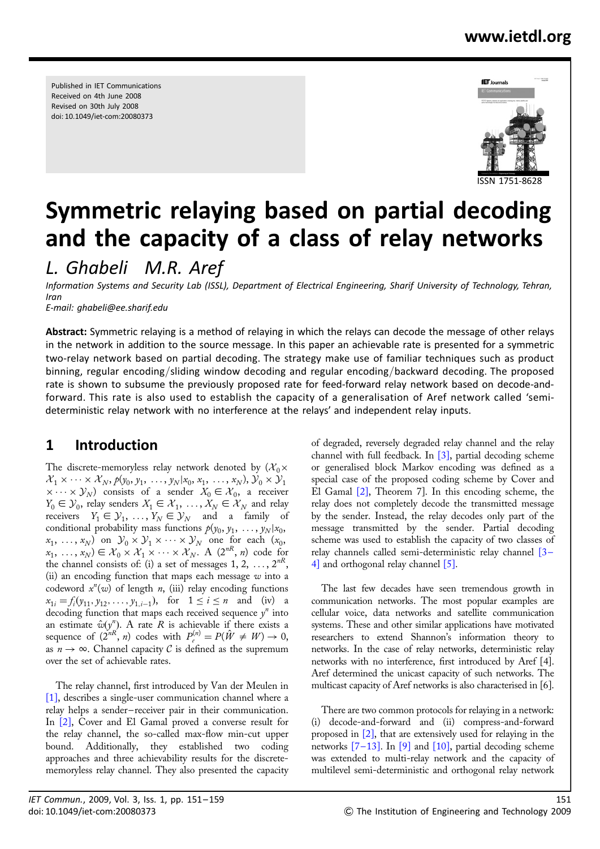# www.ietdl.org

Published in IET Communications Received on 4th June 2008 Revised on 30th July 2008 doi: 10.1049/iet-com:20080373



# Symmetric relaying based on partial decoding and the capacity of a class of relay networks

L. Ghabeli M.R. Aref

Information Systems and Security Lab (ISSL), Department of Electrical Engineering, Sharif University of Technology, Tehran, Iran

E-mail: ghabeli@ee.sharif.edu

Abstract: Symmetric relaying is a method of relaying in which the relays can decode the message of other relays in the network in addition to the source message. In this paper an achievable rate is presented for a symmetric two-relay network based on partial decoding. The strategy make use of familiar techniques such as product binning, regular encoding/sliding window decoding and regular encoding/backward decoding. The proposed rate is shown to subsume the previously proposed rate for feed-forward relay network based on decode-andforward. This rate is also used to establish the capacity of a generalisation of Aref network called 'semideterministic relay network with no interference at the relays' and independent relay inputs.

## 1 Introduction

The discrete-memoryless relay network denoted by  $(\mathcal{X}_0\times$  $\mathcal{X}_1 \times \cdots \times \mathcal{X}_N$ ,  $p(y_0, y_1, \ldots, y_N | x_0, x_1, \ldots, x_N)$ ,  $\mathcal{Y}_0 \times \mathcal{Y}_1$  $\times \cdots \times \mathcal{Y}_N$  consists of a sender  $X_0 \in \mathcal{X}_0$ , a receiver  $Y_0 \in \mathcal{Y}_0$ , relay senders  $X_1 \in \mathcal{X}_1, \ldots, X_N \in \mathcal{X}_N$  and relay receivers  $Y_1 \in \mathcal{Y}_1, \ldots, Y_N \in \mathcal{Y}_N$  and a family of conditional probability mass functions  $p(y_0, y_1, \ldots, y_N | x_0,$  $(x_1, \ldots, x_N)$  on  $\mathcal{Y}_0 \times \mathcal{Y}_1 \times \cdots \times \mathcal{Y}_N$  one for each  $(x_0,$  $(x_1, \ldots, x_N) \in \mathcal{X}_0 \times \mathcal{X}_1 \times \cdots \times \mathcal{X}_N$ . A  $(2^{nR}, n)$  code for the channel consists of: (i) a set of messages  $1, 2, ..., 2^{nR}$ , (ii) an encoding function that maps each message  $w$  into a codeword  $x^n(w)$  of length n, (iii) relay encoding functions  $x_{1i} = f_i(y_{11}, y_{12}, \dots, y_{1,i-1}),$  for  $1 \le i \le n$  and (iv) a decoding function that maps each received sequence  $y^n$  into an estimate  $\hat{w}(y^n)$ . A rate R is achievable if there exists a sequence of  $(2^{nR}, n)$  codes with  $P_e^{(n)} = P(\hat{W} \neq W) \rightarrow 0$ , as  $n \to \infty$ . Channel capacity C is defined as the supremum over the set of achievable rates.

The relay channel, first introduced by Van der Meulen in [1], describes a single-user communication channel where a relay helps a sender – receiver pair in their communication. In [2], Cover and El Gamal proved a converse result for the relay channel, the so-called max-flow min-cut upper bound. Additionally, they established two coding approaches and three achievability results for the discretememoryless relay channel. They also presented the capacity

of degraded, reversely degraded relay channel and the relay channel with full feedback. In  $[3]$ , partial decoding scheme or generalised block Markov encoding was defined as a special case of the proposed coding scheme by Cover and El Gamal [2], Theorem 7]. In this encoding scheme, the relay does not completely decode the transmitted message by the sender. Instead, the relay decodes only part of the message transmitted by the sender. Partial decoding scheme was used to establish the capacity of two classes of relay channels called semi-deterministic relay channel [3 – 4] and orthogonal relay channel [5].

The last few decades have seen tremendous growth in communication networks. The most popular examples are cellular voice, data networks and satellite communication systems. These and other similar applications have motivated researchers to extend Shannon's information theory to networks. In the case of relay networks, deterministic relay networks with no interference, first introduced by Aref [4]. Aref determined the unicast capacity of such networks. The multicast capacity of Aref networks is also characterised in [6].

There are two common protocols for relaying in a network: (i) decode-and-forward and (ii) compress-and-forward proposed in [2], that are extensively used for relaying in the networks  $[7-13]$ . In [9] and [10], partial decoding scheme was extended to multi-relay network and the capacity of multilevel semi-deterministic and orthogonal relay network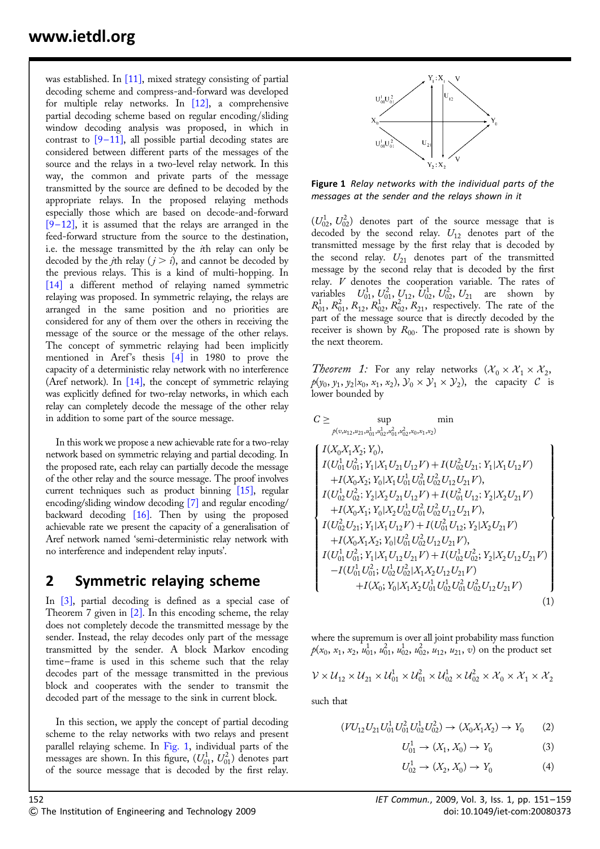was established. In  $[11]$ , mixed strategy consisting of partial decoding scheme and compress-and-forward was developed for multiple relay networks. In [12], a comprehensive partial decoding scheme based on regular encoding/sliding window decoding analysis was proposed, in which in contrast to  $[9-11]$ , all possible partial decoding states are considered between different parts of the messages of the source and the relays in a two-level relay network. In this way, the common and private parts of the message transmitted by the source are defined to be decoded by the appropriate relays. In the proposed relaying methods especially those which are based on decode-and-forward  $[9-12]$ , it is assumed that the relays are arranged in the feed-forward structure from the source to the destination, i.e. the message transmitted by the ith relay can only be decoded by the *j*th relay  $(j > i)$ , and cannot be decoded by the previous relays. This is a kind of multi-hopping. In [14] a different method of relaying named symmetric relaying was proposed. In symmetric relaying, the relays are arranged in the same position and no priorities are considered for any of them over the others in receiving the message of the source or the message of the other relays. The concept of symmetric relaying had been implicitly mentioned in Aref's thesis  $\begin{bmatrix} 4 \end{bmatrix}$  in 1980 to prove the capacity of a deterministic relay network with no interference (Aref network). In [14], the concept of symmetric relaying was explicitly defined for two-relay networks, in which each relay can completely decode the message of the other relay in addition to some part of the source message.

In this work we propose a new achievable rate for a two-relay network based on symmetric relaying and partial decoding. In the proposed rate, each relay can partially decode the message of the other relay and the source message. The proof involves current techniques such as product binning [15], regular encoding/sliding window decoding [7] and regular encoding/ backward decoding  $[16]$ . Then by using the proposed achievable rate we present the capacity of a generalisation of Aref network named 'semi-deterministic relay network with no interference and independent relay inputs'.

### 2 Symmetric relaying scheme

In [3], partial decoding is defined as a special case of Theorem 7 given in [2]. In this encoding scheme, the relay does not completely decode the transmitted message by the sender. Instead, the relay decodes only part of the message transmitted by the sender. A block Markov encoding time – frame is used in this scheme such that the relay decodes part of the message transmitted in the previous block and cooperates with the sender to transmit the decoded part of the message to the sink in current block.

In this section, we apply the concept of partial decoding scheme to the relay networks with two relays and present parallel relaying scheme. In Fig. 1, individual parts of the messages are shown. In this figure,  $(U_{01}^1, U_{01}^2)$  denotes part of the source message that is decoded by the first relay.



Figure 1 Relay networks with the individual parts of the messages at the sender and the relays shown in it

 $(U_{02}^1, U_{02}^2)$  denotes part of the source message that is decoded by the second relay.  $U_{12}$  denotes part of the transmitted message by the first relay that is decoded by the second relay.  $U_{21}$  denotes part of the transmitted message by the second relay that is decoded by the first relay. V denotes the cooperation variable. The rates of variables  $U_{01}^1$ ,  $U_{01}^2$ ,  $U_{12}^1$ ,  $U_{02}^1$ ,  $U_{02}^2$ ,  $U_{21}$  are shown by  $R_{01}^1$ ,  $R_{01}^2$ ,  $R_{12}^1$ ,  $R_{02}^1$ ,  $R_{02}^2$ ,  $R_{21}$ , respectively. The rate of the part of the message source that is directly decoded by the receiver is shown by  $R_{00}$ . The proposed rate is shown by the next theorem.

*Theorem 1:* For any relay networks  $(\mathcal{X}_0 \times \mathcal{X}_1 \times \mathcal{X}_2)$ ,  $p(y_0, y_1, y_2 | x_0, x_1, x_2), y_0 \times y_1 \times y_2$ , the capacity C is lower bounded by

$$
C\geq \sup_{\substack{\not p(v,u_{12},u_{21},u_{01}^1,u_{02}^1,u_{01}^2,u_{02}^2, x_0, x_1, x_2)}}\min
$$

$$
\left\{\begin{array}{l} I(X_0X_1X_2;Y_0),\\ I(U_{01}^1U_{01}^2;Y_1|X_1U_{21}U_{12}V)+I(U_{02}^2U_{21};Y_1|X_1U_{12}V)\\+I(X_0X_2;Y_0|X_1U_{01}^1U_{01}^2U_{02}^2U_{12}U_{21}V),\\ I(U_{02}^1U_{02}^2;Y_2|X_2U_{21}U_{12}V)+I(U_{01}^2U_{12};Y_2|X_2U_{21}V)\\+I(X_0X_1;Y_0|X_2U_{02}^1U_{01}^2U_{02}^2U_{12}U_{21}V),\\ I(U_{02}^2U_{21};Y_1|X_1U_{12}V)+I(U_{01}^2U_{12};Y_2|X_2U_{21}V)\\+I(X_0X_1X_2;Y_0|U_{01}^2U_{02}^2U_{12}U_{21}V),\\ I(U_{01}^1U_{01}^2;Y_1|X_1U_{12}U_{21}V)+I(U_{02}^1U_{02}^2;Y_2|X_2U_{12}U_{21}V)\\-I(U_{01}^1U_{01}^2;U_{02}^1U_{02}^2|X_1X_2U_{12}U_{21}V)\\+I(X_0;Y_0|X_1X_2U_{01}^1U_{02}^1U_{02}^2U_{12}U_{21}V)\\ \end{array}\right\} \tag{1}
$$

where the supremum is over all joint probability mass function  $p(x_0, x_1, x_2, u_{01}^1, u_{01}^2, u_{02}^1, u_{02}^2, u_{12}, u_{21}, v)$  on the product set

$$
V \times U_{12} \times U_{21} \times U_{01}^1 \times U_{01}^2 \times U_{02}^1 \times U_{02}^2 \times X_0 \times X_1 \times X_2
$$

such that

$$
(VU_{12}U_{21}U_{01}^1U_{01}^2U_{02}^1U_{02}^2) \to (X_0X_1X_2) \to Y_0 \tag{2}
$$

$$
U_{01}^1 \to (X_1, X_0) \to Y_0 \tag{3}
$$

$$
U_{02}^1 \to (X_2, X_0) \to Y_0 \tag{4}
$$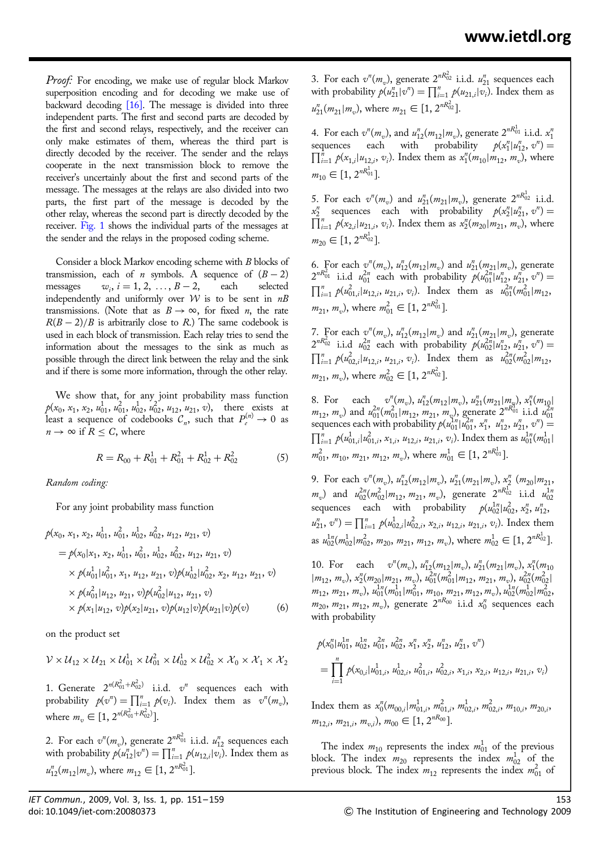Proof: For encoding, we make use of regular block Markov superposition encoding and for decoding we make use of backward decoding [16]. The message is divided into three independent parts. The first and second parts are decoded by the first and second relays, respectively, and the receiver can only make estimates of them, whereas the third part is directly decoded by the receiver. The sender and the relays cooperate in the next transmission block to remove the receiver's uncertainly about the first and second parts of the message. The messages at the relays are also divided into two parts, the first part of the message is decoded by the other relay, whereas the second part is directly decoded by the receiver. Fig. 1 shows the individual parts of the messages at the sender and the relays in the proposed coding scheme.

Consider a block Markov encoding scheme with B blocks of transmission, each of *n* symbols. A sequence of  $(B - 2)$ messages  $w_i$ ,  $i = 1, 2, ..., B - 2$ , each selected independently and uniformly over  $W$  is to be sent in  $nB$ transmissions. (Note that as  $B \to \infty$ , for fixed *n*, the rate  $R(B-2)/B$  is arbitrarily close to R.) The same codebook is used in each block of transmission. Each relay tries to send the information about the messages to the sink as much as possible through the direct link between the relay and the sink and if there is some more information, through the other relay.

We show that, for any joint probability mass function  $p(x_0, x_1, x_2, u_{01}^1, u_{01}^2, u_{02}^1, u_{02}^2, u_{12}, u_{21}, v)$ , there exists at least a sequence of codebooks  $C_n$ , such that  $P_e^{(n)} \to 0$  as  $n \to \infty$  if  $R \leq C$ , where

$$
R = R_{00} + R_{01}^1 + R_{01}^2 + R_{02}^1 + R_{02}^2 \tag{5}
$$

Random coding:

For any joint probability mass function

$$
p(x_0, x_1, x_2, u_{01}^1, u_{01}^2, u_{02}^1, u_{02}^2, u_{12}, u_{21}, v)
$$
  
=  $p(x_0|x_1, x_2, u_{01}^1, u_{01}^2, u_{02}^1, u_{02}^2, u_{12}, u_{21}, v)$   
 $\times p(u_{01}^1|u_{01}^2, x_1, u_{12}, u_{21}, v)p(u_{02}^1|u_{02}^2, x_2, u_{12}, u_{21}, v)$   
 $\times p(u_{01}^2|u_{12}, u_{21}, v)p(u_{02}^2|u_{12}, u_{21}, v)$   
 $\times p(x_1|u_{12}, v)p(x_2|u_{21}, v)p(u_{12}|v)p(u_{21}|v)p(v)$  (6)

on the product set

$$
\mathcal{V}\times\mathcal{U}_{12}\times\mathcal{U}_{21}\times\mathcal{U}_{01}^1\times\mathcal{U}_{01}^2\times\mathcal{U}_{02}^1\times\mathcal{U}_{02}^2\times\mathcal{X}_0\times\mathcal{X}_1\times\mathcal{X}_2
$$

1. Generate  $2^{n(R_{01}^2+R_{02}^2)}$  i.i.d.  $v^n$  sequences each with probability  $p(v^n) = \prod_{i=1}^n p(v_i)$ . Index them as  $v^n(m_v)$ , where  $m_v \in [1, 2^{n(R_{01}^2 + R_{02}^2)}].$ 

2. For each  $v^n(m_v)$ , generate  $2^{nR_{01}^2}$  i.i.d.  $u_{12}^n$  sequences each with probability  $p(u_{12}^n | v^n) = \prod_{i=1}^n p(u_{12,i} | v_i)$ . Index them as  $u_{12}^n(m_{12}|m_v)$ , where  $m_{12} \in [1, 2^{nR_{01}^2}]$ .

3. For each  $v^n(m_v)$ , generate  $2^{nR_{02}^2}$  i.i.d.  $u_{21}^n$  sequences each with probability  $p(u_{21}^n | v^n) = \prod_{i=1}^n p(u_{21,i} | v_i)$ . Index them as  $u_{21}^n(m_{21}|m_v)$ , where  $m_{21} \in [1, 2^{nR_{02}^2}]$ .

4. For each  $v^n(m_v)$ , and  $u_{12}^n(m_{12}|m_v)$ , generate  $2^{nR_{01}^1}$  i.i.d.  $x_1^n$ sequences each with probability  $p(x_1^n | u_{12}^n, v^n) =$ <br> $\prod^n \rho(x_n | u_{n-1}^n)$  lindex them as  $x^n (m \mid m \mid m)$  where  $\prod_{i=1}^{n} p(x_{1,i}|u_{12,i}, v_i)$ . Index them as  $x_1^{n}(m_{10}|m_{12}, m_v)$ , where  $m_{10} \in [1, 2^{nR_{01}^1}].$ 

5. For each  $v^n(m_v)$  and  $u_{21}^n(m_{21}|m_v)$ , generate  $2^{nR_{02}^1}$  i.i.d.  $x_2^n$  sequences each with probability  $p(x_2^n | u_{21}^n, v^n) =$ <br> $\prod^n_{n=1}$   $p(x_1 | u_{n-1}^n, v_n)$  lindex them as  $x^n (m \mid m \mid m)$  where  $\prod_{i=1}^{n} p(x_{2,i}|u_{21,i}, v_i)$ . Index them as  $x_2^{n}(m_{20}|m_{21}, m_v)$ , where  $m_{20} \in [1, 2^{nR_{02}^1}].$ 

6. For each  $v^n(m_v)$ ,  $u_{12}^n(m_{12}|m_v)$  and  $u_{21}^n(m_{21}|m_v)$ , generate  $2^{nR_{01}^2}$  i.i.d  $u_{01}^{2n}$  each with probability  $p(u_{01}^{2n}|u_{12}^n, u_{21}^n, v^n) =$ <br> $\prod_{i=1}^n |u_{0i}^{2n}| \leq |u_{0i}|$  and  $\prod_{i=1}^n |v_{0i}^{2n}| \leq |v_{0i}|$  $\sum_{i=1}^{n} p(u_{01,i}^2 | u_{12,i}, u_{21,i}, v_i)$ . Index them as  $u_{01}^{2n}(m_{01}^2 | m_{12,i})$  $m_{21}, m_v$ ), where  $m_{01}^2 \in [1, 2^{nR_{01}^2}]$ .

7. For each  $v^n(m_v)$ ,  $u_{12}^n(m_{12}|m_v)$  and  $u_{21}^n(m_{21}|m_v)$ , generate  $2^{nR_{02}^2}$  i.i.d  $u_{02}^{2n}$  each with probability  $p(u_{02}^{2n}|u_{12}^n, u_{21}^n, v^n) =$ <br> $\prod_{i=1}^n |u_{02}^{2n} - u_{12}^{2n}| \leq |u_{02}^{2n} - u_{12}^{2n}| \leq |u_{02}^{2n} - u_{12}^{2n}| \leq |u_{02}^{2n} - u_{12}^{2n}| \leq |u_{02}^{2n} - u_{12}^{2n}| \leq |u_{02}^{2n$  $\sum_{i=1}^{n} p(u_{02,i}^2 | u_{12,i}, u_{21,i}, v_i)$ . Index them as  $u_{02}^{2n}(m_{02}^2 | m_{12,i})$  $m_{21}, m_v$ ), where  $m_{02}^2 \in [1, 2^{nR_{02}^2}]$ .

8. For each  $v''_1(m_v), u''_{12}(m_{12}|m_v), u''_{21}(m_{21}|m_v), x''_1(m_{10}|m_v)$  $m_{12}$ ,  $m_v$ ) and  $u_{01}^{2n}(m_{01}^2|m_{12}^2, m_{21}^2, m_v)$ , generate  $2^{nR_{01}^{(1)}}$  i.i.d  $u_{01}^{(2)}$ <br>sequences each with probability  $p(u_{01}^{1n}|u_{01}^{2n}, x_1^n, u_{12}^n, u_{21}^n, v^n)$  =  $\sum_{i=1}^{n} p(u_{01,i}^1|u_{01,i}^2, x_{1,i}, u_{12,i}, u_{21,i}, v_i)$ . Index them as  $u_{01}^{1n}(m_{01}^1|$  $m_{01}^2$ ,  $m_{10}$ ,  $m_{21}$ ,  $m_{12}$ ,  $m_v$ ), where  $m_{01}^1 \in [1, 2^{nR_{01}^1}]$ .

9. For each  $v^n(m_v)$ ,  $u_{12}^n(m_{12}|m_v)$ ,  $u_{21}^n(m_{21}|m_v)$ ,  $x_2^n(m_{20}|m_{21})$ ,  $m_v$ ) and  $u_{02}^{2n}(m_{02}^2|m_{12}, m_{21}, m_v)$ , generate  $2^{nR_{02}^1}$  i.i.d  $u_{02}^{1n}$ sequences each with probability  $p(u_{02}^{1n}|u_{02}^2, x_2^n, u_{12}^n,$  $u_{21}^n, v^n) = \prod_{i=1}^n p(u_{02,i}^1 | u_{02,i}^2, x_{2,i}, u_{12,i}, u_{21,i}, v_i)$ . Index them as  $u_{02}^{1n}(m_{02}^1 | m_{02}^2, m_{20}, m_{21}, m_{12}, m_v)$ , where  $m_{02}^1 \in [1, 2^{nR_{02}^1}]$ .

10. For each  $v^n(m_v)$ ,  $u_{12}^n(m_{12}|m_v)$ ,  $u_{21}^n(m_{21}|m_v)$ ,  $x_1^n(m_{10}$  $(m_{12}, m_v), x_2^n(m_{20}|m_{21}, m_v), u_{01}^{2n}(m_{01}^2|m_{12}, m_{21}, m_v), u_{02}^{2n}(m_{02}^2|m_{12}^2,m_v)$  $m_{12}, m_{21}, m_v$ ),  $u_{01}^{1n}(m_{01}^1 | m_{01}^2, m_{10}, m_{21}, m_{12}, m_v)$ ,  $u_{02}^{1n}(m_{02}^1 | m_{02}^2, m_v)$  $m_{20}, m_{21}, m_{12}, m_v$ ), generate  $2^{nR_{00}}$  i.i.d  $x_0^n$  sequences each with probability

$$
p(x_0^n|u_{01}^{1n}, u_{02}^{1n}, u_{01}^{2n}, u_{02}^{2n}, x_1^n, x_2^n, u_{12}^n, u_{21}^n, v^n)
$$
  
= 
$$
\prod_{i=1}^n p(x_{0,i}|u_{01,i}^1, u_{02,i}^1, u_{01,i}^2, u_{02,i}^2, x_{1,i}, x_{2,i}, u_{12,i}, u_{21,i}, v_i)
$$

Index them as  $x_0^n(m_{00,i}|m_{01,i}^1, m_{01,i}^2, m_{02,i}^1, m_{02,i}^2, m_{10,i}^2, m_{20,i}^2)$  $m_{12,i}, m_{21,i}, m_{v,i}$ ,  $m_{00} \in [1, 2^{nR_{00}}]$ .

The index  $m_{10}$  represents the index  $m_{01}^1$  of the previous block. The index  $m_{20}$  represents the index  $m_{02}^1$  of the previous block. The index  $m_{12}$  represents the index  $m_{01}^2$  of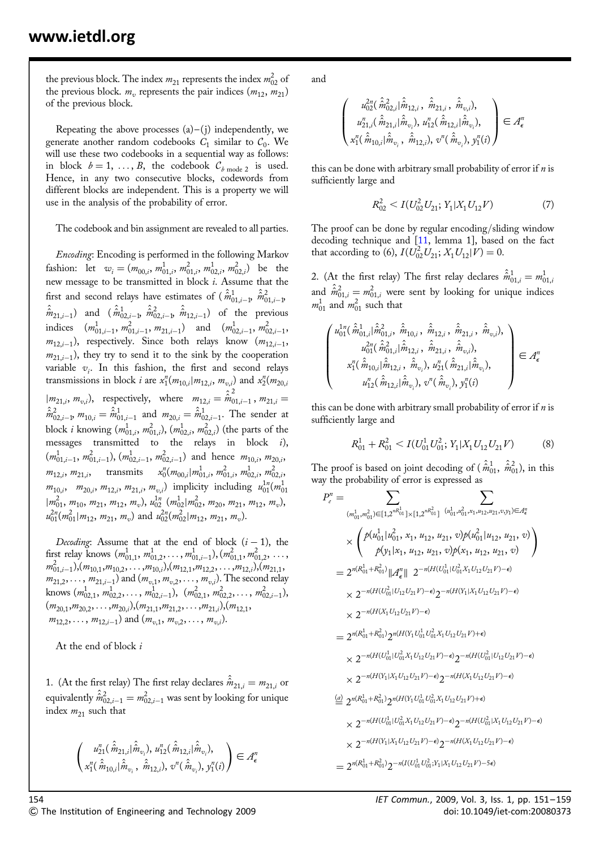the previous block. The index  $m_{21}$  represents the index  $m_{02}^2$  of the previous block.  $m_v$  represents the pair indices  $(m_{12}, m_{21})$ of the previous block.

Repeating the above processes  $(a)$ – $(j)$  independently, we generate another random codebooks  $C_1$  similar to  $C_0$ . We will use these two codebooks in a sequential way as follows: in block  $b = 1, \ldots, B$ , the codebook  $\mathcal{C}_{b \text{ mode } 2}$  is used. Hence, in any two consecutive blocks, codewords from different blocks are independent. This is a property we will use in the analysis of the probability of error.

The codebook and bin assignment are revealed to all parties.

Encoding: Encoding is performed in the following Markov fashion: let  $w_i = (m_{00,i}, m_{01,i}^1, m_{01,i}^2, m_{02,i}^1, m_{02,i}^2)$  be the new message to be transmitted in block i. Assume that the first and second relays have estimates of (  $\hat{\hat{m}}_{01,i-1}^1$  ,  $\hat{\hat{m}}_{01,i-1}^2$  $\hat{\hat{m}}_{21,i-1}$  and  $(\hat{\hat{m}}_{02,i-1}^1, \hat{\hat{m}}_{02,i-1}^2, \hat{\hat{m}}_{12,i-1})$  of the previous indices  $(m_{01,i-1}^1, m_{01,i-1}^2, m_{21,i-1})$  and  $(m_{02,i-1}^1, m_{02,i-1}^2,$  $m_{12,i-1}$ ), respectively. Since both relays know  $(m_{12,i-1}, m_{12,i-1}, m_{12,i})$  $m_{21,i-1}$ ), they try to send it to the sink by the cooperation variable  $v_i$ . In this fashion, the first and second relays transmissions in block *i* are  $x_1^n(m_{10,i}|m_{12,i}, m_{v,i})$  and  $x_2^n(m_{20,i})$  $|m_{21,i}, m_{v,i}\rangle$ , respectively, where  $m_{12,i} = \hat{\hat{m}}_{01,i-1}^2$ ,  $m_{21,i} =$  $\hat{\hat{m}}_{02,i-1}^2$ ,  $m_{10,i} = \hat{\hat{m}}_{01,i-1}^1$  and  $m_{20,i} = \hat{\hat{m}}_{02,i-1}^1$ . The sender at block *i* knowing  $(m_{01,i}^1, m_{01,i}^2), (m_{02,i}^1, m_{02,i}^2)$  (the parts of the messages transmitted to the relays in block i),  $(m_{01,i-1}^1, m_{01,i-1}^2), (m_{02,i-1}^1, m_{02,i-1}^2)$  and hence  $m_{10,i}, m_{20,i},$  $m_{12,i}$ ,  $m_{21,i}$ , transmits  $x_0^n(m_{00,i}|m_{01,i}^1, m_{01,i}^2, m_{02,i}^1, m_{02,i}^2)$  $m_{10,i}$ ,  $m_{20,i}$ ,  $m_{12,i}$ ,  $m_{21,i}$ ,  $m_{v,i}$ ) implicity including  $u_{01}^{1n}(m_{01}^1)$  $|m_{01}^2, m_{10}, m_{21}, m_{12}, m_v|, u_{02}^{1n} (m_{02}^1 | m_{02}^2, m_{20}, m_{21}, m_{12}, m_v),$  $u_{01}^{2n}(m_{01}^2|m_{12}, m_{21}, m_v)$  and  $u_{02}^{2n}(m_{02}^2|m_{12}, m_{21}, m_v)$ .

Decoding: Assume that at the end of block  $(i - 1)$ , the first relay knows  $(m_{01,1}^1, m_{01,2}^1, \ldots, m_{01,i-1}^1), (m_{01,1}^2, m_{01,2}^2, \ldots,$  $m_{01,i-1}^2$ ,, $(m_{10,1},m_{10,2},\ldots,m_{10,i})$ , $(m_{12,1},m_{12,2},\ldots,m_{12,i})$ , $(m_{21,1},m_{22,2},\ldots,m_{22,i})$  $m_{21,2}, \ldots, m_{21,i-1}$ ) and  $(m_{v,1}, m_{v,2}, \ldots, m_{v,i})$ . The second relay knows  $(m_{02,1}^1, m_{02,2}^1, \ldots, m_{02,i-1}^1), (m_{02,1}^2, m_{02,2}^2, \ldots, m_{02,i-1}^2),$  $(m_{20,1},m_{20,2},\ldots,m_{20,i}), (m_{21,1},m_{21,2},\ldots,m_{21,i}), (m_{12,1},m_{22,2},\ldots,m_{21,i})$  $m_{12,2}, \ldots, m_{12,i-1}$  and  $(m_{v,1}, m_{v,2}, \ldots, m_{v,i}).$ 

At the end of block i

1. (At the first relay) The first relay declares  $\hat{\hat{m}}_{21,i} = m_{21,i}$  or equivalently  $\hat{\hat{m}}_{02,i-1}^2 = m_{02,i-1}^2$  was sent by looking for unique index  $m_{21}$  such that

$$
\begin{pmatrix} u_{21}^n(\hat{\hat{m}}_{21,i}|\hat{\hat{m}}_{v_i}), u_{12}^n(\hat{\hat{m}}_{12,i}|\hat{\hat{m}}_{v_i}), \\ x_1^n(\hat{\hat{m}}_{10,i}|\hat{\hat{m}}_{v_i}, \hat{\hat{m}}_{12,i}), v^n(\hat{\hat{m}}_{v_i}), y_1^n(i) \end{pmatrix} \in \mathcal{A}_{\epsilon}^n
$$

and

$$
\left( \begin{smallmatrix} u_{02}^{2n}(\hat{\hat{m}}_{02,i}^{2}|\hat{\hat{m}}_{12,i}, \ \hat{\hat{m}}_{21,i}, \ \hat{\hat{m}}_{21,i}, \ \hat{\hat{m}}_{v,i}), \\ u_{21,i}^n(\hat{\hat{m}}_{21,i}|\hat{\hat{m}}_{v_i}), u_{12}^n(\hat{\hat{m}}_{12,i}|\hat{\hat{m}}_{v_i}), \\ x_1^n(\hat{\hat{m}}_{10,i}|\hat{\hat{m}}_{v_i}, \ \hat{\hat{m}}_{12,i}), v^n(\hat{\hat{m}}_{v_i}), y_1^n(i) \end{smallmatrix} \right) \in \mathcal{A}_{\epsilon}^n
$$

this can be done with arbitrary small probability of error if  $n$  is sufficiently large and

$$
R_{02}^2 < I(U_{02}^2 U_{21}; Y_1 | X_1 U_{12} V) \tag{7}
$$

The proof can be done by regular encoding/sliding window decoding technique and [11, lemma 1], based on the fact that according to (6),  $I(U_{02}^2 U_{21}; X_1 U_{12} | V) = 0$ .

2. (At the first relay) The first relay declares  $\hat{\hat{m}}_{01,i}^1 = m_{01,i}^1$ and  $\hat{m}_{01,i}^2 = m_{01,i}^2$  were sent by looking for unique indices  $m_{01}^1$  and  $m_{01}^2$  such that

$$
\begin{pmatrix} u_{01}^{1n}(\hat{\hat{m}}_{01,i}^{1}|\hat{\hat{m}}_{01,i}^{2}, \hat{\hat{m}}_{10,i}, \hat{\hat{m}}_{12,i}, \hat{\hat{m}}_{21,i}, \hat{\hat{m}}_{v,i}), \\ u_{01}^{2n}(\hat{\hat{m}}_{01,i}^{2}|\hat{\hat{m}}_{12,i}, \hat{\hat{m}}_{21,i}, \hat{\hat{m}}_{v,i}), \\ x_{1}^{n}(\hat{\hat{m}}_{10,i}|\hat{\hat{m}}_{12,i}, \hat{\hat{m}}_{v_i}), u_{21}^{n}(\hat{\hat{m}}_{21,i}|\hat{\hat{m}}_{v_i}), \\ u_{12}^{n}(\hat{\hat{m}}_{12,i}|\hat{\hat{m}}_{v_i}), v^{n}(\hat{\hat{m}}_{v_i}), y_{1}^{n}(i) \end{pmatrix} \in \mathcal{A}_{\epsilon}^{n}
$$

this can be done with arbitrary small probability of error if  $n$  is sufficiently large and

$$
R_{01}^1 + R_{01}^2 < I(U_{01}^1 U_{01}^2; Y_1 | X_1 U_{12} U_{21} V) \tag{8}
$$

The proof is based on joint decoding of (  $\hat{\hat{m}}_{01}^{1},$   $\hat{\hat{m}}_{01}^{2}$ ), in this way the probability of error is expressed as

$$
P_{e}^{n} = \sum_{(m_{01}^{1}, m_{01}^{2}) \in [1, 2^{nR_{01}^{1}}] \times [1, 2^{nR_{01}^{2}}] } \sum_{(u_{01}^{1}, u_{01}^{2}, x_{1}, u_{12}, u_{21}, v_{y1}) \in \mathcal{A}_{\epsilon}^{n}}
$$
  
\n
$$
\times \left( \frac{p(u_{01}^{1}|u_{01}^{2}, x_{1}, u_{12}, u_{21}, v)p(u_{01}^{2}|u_{12}, u_{21}, v)}{p(y_{1}|x_{1}, u_{12}, u_{21}, v)p(x_{1}, u_{12}, u_{21}, v)} \right)
$$
  
\n
$$
= 2^{n(R_{01}^{1} + R_{01}^{2})} ||A_{e}^{n}|| 2^{-n(H(U_{01}^{1}|U_{01}^{2}X_{1}U_{12}U_{21}V) - \epsilon)}
$$
  
\n
$$
\times 2^{-n(H(U_{01}^{2}|U_{12}U_{21}V) - \epsilon)} 2^{-n(H(Y_{1}|X_{1}U_{12}U_{21}V) - \epsilon)}
$$
  
\n
$$
\times 2^{-n(H(X_{1}U_{12}U_{21}V) - \epsilon)}
$$
  
\n
$$
= 2^{n(R_{01}^{1} + R_{01}^{2})} 2^{n(H(Y_{1}U_{01}^{1}U_{01}^{2}X_{1}U_{12}U_{21}V) + \epsilon)}
$$
  
\n
$$
\times 2^{-n(H(U_{01}^{1}|U_{01}^{2}X_{1}U_{12}U_{21}V) - \epsilon)} 2^{-n(H(U_{01}^{2}|U_{12}U_{21}V) - \epsilon)}
$$
  
\n
$$
\times 2^{-n(H(Y_{1}|X_{1}U_{12}U_{21}V) - \epsilon)} 2^{-n(H(X_{1}U_{12}U_{21}V) - \epsilon)}
$$
  
\n
$$
\frac{(a)}{2} 2^{n(R_{01}^{1} + R_{01}^{2})} 2^{n(H(Y_{1}U_{01}^{1}U_{01}^{2}X_{1}U_{12}U_{21}V) + \epsilon)}
$$
  
\n
$$
\times 2^{-n(H(U_{01}^{1}|U
$$

$$
\times 2^{-n(H(Y_1|X_1U_{12}U_{21}V)-\epsilon)}2^{-n(H(X_1U_{12}U_{21}V)-\epsilon)}
$$

$$
=2^{n(R_{01}^1+R_{01}^2)}2^{-n(I(U_{01}^1U_{01}^2;Y_1|X_1U_{12}U_{21}V)-5\epsilon)}
$$

 $\heartsuit$  The Institution of Engineering and Technology 2009 doi: 10.1049/iet-com:20080373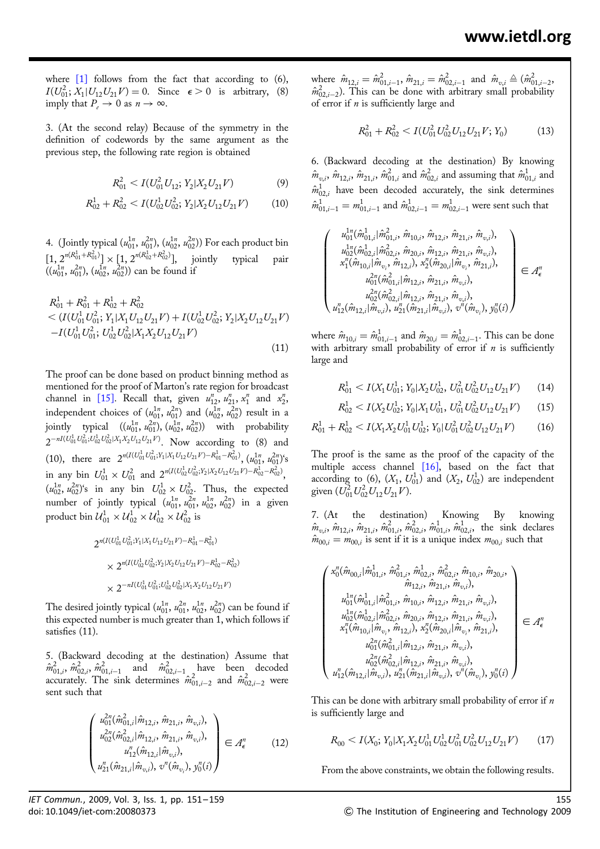where  $[1]$  follows from the fact that according to  $(6)$ ,  $I(U_{01}^2; X_1 | U_{12} U_{21} V) = 0$ . Since  $\epsilon > 0$  is arbitrary, (8) imply that  $P_e \to 0$  as  $n \to \infty$ .

3. (At the second relay) Because of the symmetry in the definition of codewords by the same argument as the previous step, the following rate region is obtained

$$
R_{01}^2 < I(U_{01}^2 U_{12}; Y_2 | X_2 U_{21} V) \tag{9}
$$

$$
R_{02}^1 + R_{02}^2 < I(U_{02}^1 U_{02}^2; Y_2 | X_2 U_{12} U_{21} V) \tag{10}
$$

4. (Jointly typical  $(u_{01}^{1n}, u_{01}^{2n}), (u_{02}^{1n}, u_{02}^{2n}))$  For each product bin  $[1, 2^{n(R_{01}^1+R_{01}^2)}] \times [1, 2^{n(R_{02}^1+R_{02}^2)}],$  jointly typical pair  $((u_{01}^{1n}, u_{01}^{2n}), (u_{02}^{1n}, u_{02}^{2n}))$  can be found if

$$
R_{01}^{1} + R_{01}^{2} + R_{02}^{1} + R_{02}^{2}
$$
  

$$
< (I(U_{01}^{1} U_{01}^{2}; Y_{1}|X_{1} U_{12} U_{21} V) + I(U_{02}^{1} U_{02}^{2}; Y_{2}|X_{2} U_{12} U_{21} V)
$$

$$
-I(U_{01}^{1} U_{01}^{2}; U_{02}^{1} U_{02}^{2}|X_{1} X_{2} U_{12} U_{21} V)
$$
\n(11)

The proof can be done based on product binning method as mentioned for the proof of Marton's rate region for broadcast channel in [15]. Recall that, given  $u_{12}^n$ ,  $u_{21}^n$ ,  $x_1^n$  and  $x_2^n$ , independent choices of  $(u_{01}^{1n}, u_{01}^{2n})$  and  $(u_{02}^{1n}, u_{02}^{2n})$  result in a jointly typical  $((u_{01}^{1n}, u_{01}^{2n}), (u_{02}^{1n}, u_{02}^{2n}))$  with probability  $2^{-nI(U_{01}^1 U_{01}^2;U_{02}^1 U_{02}^2 |X_1 X_2 U_{12} U_{21} V)}$ . Now according to (8) and (10), there are  $2^{n(I(U_{01}^1 U_{01}^2; Y_1 | X_1 U_{12} U_{21} V) - R_{01}^1 - R_{01}^2)}$ ,  $(u_{01}^{1n}, u_{01}^{2n})$ 's in any bin  $U_{01}^1 \times U_{01}^2$  and  $2^{n(I(U_{02}^1 U_{02}^2; Y_2 | X_2 U_{12} U_{21} V) - R_{02}^1 - R_{02}^2)}$ ,  $(u_{02}^{1n}, u_{02}^{2n})$ 's in any bin  $U_{02}^1 \times U_{02}^2$ . Thus, the expected number of jointly typical  $(u_{01}^{1n}, u_{01}^{2n}, u_{02}^{1n}, u_{02}^{2n})$  in a given product bin  $\mathcal{U}_{01}^1 \times \mathcal{U}_{02}^1 \times \mathcal{U}_{02}^1 \times \mathcal{U}_{02}^2$  is

$$
\begin{aligned} 2^{n(I(U_{01}^1U_{01}^2;Y_1|X_1U_{12}U_{21}V)-R_{01}^1-R_{01}^2)}\\ &\times 2^{n(I(U_{02}^1U_{02}^2;Y_2|X_2U_{12}U_{21}V)-R_{02}^1-R_{02}^2)}\\ &\times 2^{-nI(U_{01}^1U_{01}^2;U_{02}^1U_{02}^2|X_1X_2U_{12}U_{21}V)} \end{aligned}
$$

The desired jointly typical  $(u_{01}^{1n}, u_{01}^{2n}, u_{02}^{1n}, u_{02}^{2n})$  can be found if this expected number is much greater than 1, which follows if satisfies (11).

5. (Backward decoding at the destination) Assume that  $\hat{m}^2_{01,i}$ ,  $\hat{m}^2_{02,i}$ ,  $\hat{m}^2_{01,i-1}$  and  $\hat{m}^2_{02,i-1}$  have been decoded accurately. The sink determines  $\hat{m}^2_{01,i-2}$  and  $\hat{m}^2_{02,i-2}$  were sent such that

$$
\begin{pmatrix} u_{01}^{2n}(\hat{m}_{01,i}^{2}|\hat{m}_{12,i}, \hat{m}_{21,i}, \hat{m}_{v,i}), \\ u_{02}^{2n}(\hat{m}_{02,i}^{2}|\hat{m}_{12,i}, \hat{m}_{21,i}, \hat{m}_{v,i}), \\ u_{12}^{n}(\hat{m}_{12,i}|\hat{m}_{v,i}), \\ u_{21}^{n}(\hat{m}_{21,i}|\hat{m}_{v,i}), v^{n}(\hat{m}_{v,i}), y_{0}^{n}(i) \end{pmatrix} \in \mathcal{A}_{\epsilon}^{n}
$$
 (12)

where  $\hat{m}_{12,i} = \hat{m}_{01,i-1}^2$ ,  $\hat{m}_{21,i} = \hat{m}_{02,i-1}^2$  and  $\hat{m}_{v,i} \triangleq (\hat{m}_{01,i-2}^2,$  $\hat{m}^2_{0,2,i-2}$ ). This can be done with arbitrary small probability of error if  $n$  is sufficiently large and

$$
R_{01}^2 + R_{02}^2 < I(U_{01}^2 U_{02}^2 U_{12} U_{21} V; Y_0) \tag{13}
$$

6. (Backward decoding at the destination) By knowing  $\hat{m}_{v,i},\,\hat{m}_{12,i},\,\hat{m}_{21,i}^2,\,\hat{m}_{01,i}^2$  and  $\hat{m}_{02,i}^2$  and assuming that  $\hat{m}_{01,i}^1$  and  $\hat{m}^1_{02,i}$  have been decoded accurately, the sink determines  $\hat{m}^1_{01,i-1} = m^1_{01,i-1}$  and  $\hat{m}^1_{02,i-1} = m^1_{02,i-1}$  were sent such that

$$
\begin{pmatrix} u_{01}^{1n}(\hat{m}_{01,i}^1 | \hat{m}_{01,i}^2, \hat{m}_{10,i}, \hat{m}_{12,i}, \hat{m}_{21,i}, \hat{m}_{v,i}), \\ u_{02}^{1n}(\hat{m}_{02,i}^1 | \hat{m}_{02,i}^2, \hat{m}_{20,i}, \hat{m}_{12,i}, \hat{m}_{21,i}, \hat{m}_{v,i}), \\ x_1^n(\hat{m}_{10,i} | \hat{m}_{v_i}, \hat{m}_{12,i}), x_2^n(\hat{m}_{20,i} | \hat{m}_{v_i}, \hat{m}_{21,i}), \\ u_{01}^{2n}(\hat{m}_{01,i}^2 | \hat{m}_{12,i}, \hat{m}_{21,i}, \hat{m}_{v,i}), \\ u_{02}^{2n}(\hat{m}_{02,i}^2 | \hat{m}_{12,i}, \hat{m}_{21,i}, \hat{m}_{v,i}), \\ u_{12}^n(\hat{m}_{12,i} | \hat{m}_{v,i}), u_{21}^n(\hat{m}_{21,i} | \hat{m}_{v,i}), y_0^n(i) \end{pmatrix} \in \mathcal{A}_\epsilon^n
$$

where  $\hat{m}_{10,i} = \hat{m}^1_{01,i-1}$  and  $\hat{m}_{20,i} = \hat{m}^1_{02,i-1}.$  This can be done with arbitrary small probability of error if  $n$  is sufficiently large and

$$
R_{01}^1 < I(X_1 U_{01}^1; Y_0 | X_2 U_{02}^1, U_{01}^2 U_{02}^2 U_{12} U_{21} V) \tag{14}
$$

$$
R_{02}^1 < I(X_2 U_{02}^1; Y_0 | X_1 U_{01}^1, U_{01}^2 U_{02}^2 U_{12} U_{21} V) \tag{15}
$$

$$
R_{01}^1 + R_{02}^1 < I(X_1 X_2 U_{01}^1 U_{02}^1; Y_0 | U_{01}^2 U_{02}^2 U_{12} U_{21} V) \tag{16}
$$

The proof is the same as the proof of the capacity of the multiple access channel [16], based on the fact that according to (6),  $(X_1, U_{01}^1)$  and  $(X_2, U_{02}^1)$  are independent given  $(U_{01}^2 U_{02}^2 U_{12} U_{21} V)$ .

7. (At the destination) Knowing By knowing  $\hat{m}_{v,i}$ ,  $\hat{m}_{12,i}$ ,  $\hat{m}_{21,i}^2$ ,  $\hat{m}_{01,i}^2$ ,  $\hat{m}_{02,i}^1$ ,  $\hat{m}_{02,i}^1$ ,  $\hat{m}_{02,i}^1$ , the sink declares  $\hat{m}_{00,i} = m_{00,i}$  is sent if it is a unique index  $m_{00,i}$  such that

$$
\begin{pmatrix} x_0^n(\hat{m}_{00,i}|\hat{m}_{01,i}^1, \hat{m}_{01,i}^2, \hat{m}_{02,i}^1, \hat{m}_{02,i}^2, \hat{m}_{10,i}, \hat{m}_{20,i}, \\ \hat{m}_{12,i}, \hat{m}_{21,i}, \hat{m}_{21,i}, \hat{m}_{20,i}, \\ u_{01}^{1n}(\hat{m}_{01,i}^1|\hat{m}_{01,i}^2, \hat{m}_{10,i}, \hat{m}_{12,i}, \hat{m}_{21,i}, \hat{m}_{v,i}), \\ u_{02}^{1n}(\hat{m}_{02,i}^1|\hat{m}_{02,i}^2, \hat{m}_{20,i}, \hat{m}_{12,i}, \hat{m}_{21,i}, \hat{m}_{v,i}), \\ x_1^n(\hat{m}_{10,i}|\hat{m}_{v_i}, \hat{m}_{12,i}), x_2^n(\hat{m}_{20,i}|\hat{m}_{v_i}, \hat{m}_{21,i}), \\ u_{01}^{2n}(\hat{m}_{01,i}^2|\hat{m}_{12,i}, \hat{m}_{21,i}, \hat{m}_{v,i}), \\ u_{12}^{2n}(\hat{m}_{02,i}^2|\hat{m}_{12,i}, \hat{m}_{21,i}, \hat{m}_{v,i}), \\ u_{12}^n(\hat{m}_{12,i}|\hat{m}_{v_i}), u_{21}^n(\hat{m}_{21,i}|\hat{m}_{v_i}), v^n(\hat{m}_{v_i}), y_0^n(i) \end{pmatrix} \in \mathcal{A}_\epsilon^n
$$

This can be done with arbitrary small probability of error if  $n$ is sufficiently large and

$$
R_{00} < I(X_0; Y_0 | X_1 X_2 U_{01}^1 U_{02}^1 U_{02}^2 U_{12} U_{12} U_{21} V) \tag{17}
$$

From the above constraints, we obtain the following results.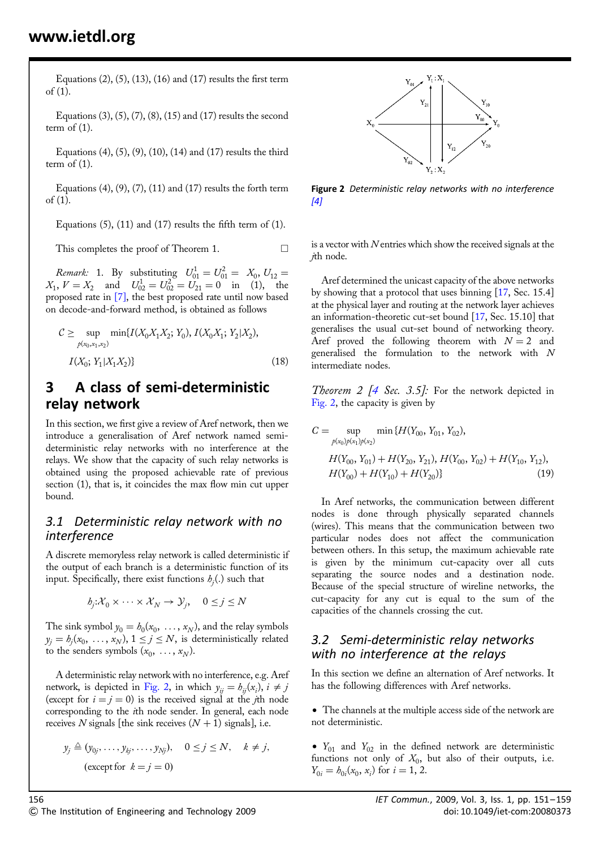Equations  $(2)$ ,  $(5)$ ,  $(13)$ ,  $(16)$  and  $(17)$  results the first term of (1).

Equations (3), (5), (7), (8), (15) and (17) results the second term of  $(1)$ .

Equations  $(4)$ ,  $(5)$ ,  $(9)$ ,  $(10)$ ,  $(14)$  and  $(17)$  results the third term of  $(1)$ .

Equations  $(4)$ ,  $(9)$ ,  $(7)$ ,  $(11)$  and  $(17)$  results the forth term of (1).

Equations  $(5)$ ,  $(11)$  and  $(17)$  results the fifth term of  $(1)$ .

This completes the proof of Theorem 1.  $\Box$ 

*Remark*: 1. By substituting  $U_{01}^1 = U_{01}^2 = X_0, U_{12} = X_0$  $X_1, V = X_2$  and  $U_{02}^1 = U_{02}^2 = U_{21} = 0$  in (1), the proposed rate in [7], the best proposed rate until now based on decode-and-forward method, is obtained as follows

$$
C \geq \sup_{p(x_0, x_1, x_2)} \min\{I(X_0X_1X_2; Y_0), I(X_0X_1; Y_2|X_2),\
$$

$$
I(X_0; Y_1|X_1X_2)\}
$$
(18)

## 3 A class of semi-deterministic relay network

In this section, we first give a review of Aref network, then we introduce a generalisation of Aref network named semideterministic relay networks with no interference at the relays. We show that the capacity of such relay networks is obtained using the proposed achievable rate of previous section (1), that is, it coincides the max flow min cut upper bound.

#### 3.1 Deterministic relay network with no interference

A discrete memoryless relay network is called deterministic if the output of each branch is a deterministic function of its input. Specifically, there exist functions  $h_i(.)$  such that

$$
h_j: \mathcal{X}_0 \times \cdots \times \mathcal{X}_N \to \mathcal{Y}_j, \quad 0 \le j \le N
$$

The sink symbol  $y_0 = b_0(x_0, \ldots, x_N)$ , and the relay symbols  $y_j = b_j(x_0, \ldots, x_N)$ ,  $1 \le j \le N$ , is deterministically related to the senders symbols  $(x_0, \ldots, x_N)$ .

A deterministic relay network with no interference, e.g. Aref network, is depicted in Fig. 2, in which  $y_{ii} = b_{ii}(x_i)$ ,  $i \neq j$ (except for  $i = j = 0$ ) is the received signal at the *j*th node corresponding to the ith node sender. In general, each node receives N signals [the sink receives  $(N + 1)$  signals], i.e.

$$
y_j \triangleq (y_{0j}, \dots, y_{kj}, \dots, y_{Nj}), \quad 0 \leq j \leq N, \quad k \neq j,
$$
  
(except for  $k = j = 0$ )



Figure 2 Deterministic relay networks with no interference  $[4]$ 

is a vector with  $N$  entries which show the received signals at the jth node.

Aref determined the unicast capacity of the above networks by showing that a protocol that uses binning [17, Sec. 15.4] at the physical layer and routing at the network layer achieves an information-theoretic cut-set bound [17, Sec. 15.10] that generalises the usual cut-set bound of networking theory. Aref proved the following theorem with  $N = 2$  and generalised the formulation to the network with N intermediate nodes.

Theorem 2  $[4 \text{ Sec. } 3.5]$ : For the network depicted in Fig. 2, the capacity is given by

$$
C = \sup_{p(x_0)p(x_1)p(x_2)} \min\{H(Y_{00}, Y_{01}, Y_{02}),
$$
  

$$
H(Y_{00}, Y_{01}) + H(Y_{20}, Y_{21}), H(Y_{00}, Y_{02}) + H(Y_{10}, Y_{12}),
$$
  

$$
H(Y_{00}) + H(Y_{10}) + H(Y_{20})\}
$$
(19)

In Aref networks, the communication between different nodes is done through physically separated channels (wires). This means that the communication between two particular nodes does not affect the communication between others. In this setup, the maximum achievable rate is given by the minimum cut-capacity over all cuts separating the source nodes and a destination node. Because of the special structure of wireline networks, the cut-capacity for any cut is equal to the sum of the capacities of the channels crossing the cut.

#### 3.2 Semi-deterministic relay networks with no interference at the relays

In this section we define an alternation of Aref networks. It has the following differences with Aref networks.

• The channels at the multiple access side of the network are not deterministic.

•  $Y_{01}$  and  $Y_{02}$  in the defined network are deterministic functions not only of  $X_0$ , but also of their outputs, i.e.  $Y_{0i} = b_{0i}(x_0, x_i)$  for  $i = 1, 2$ .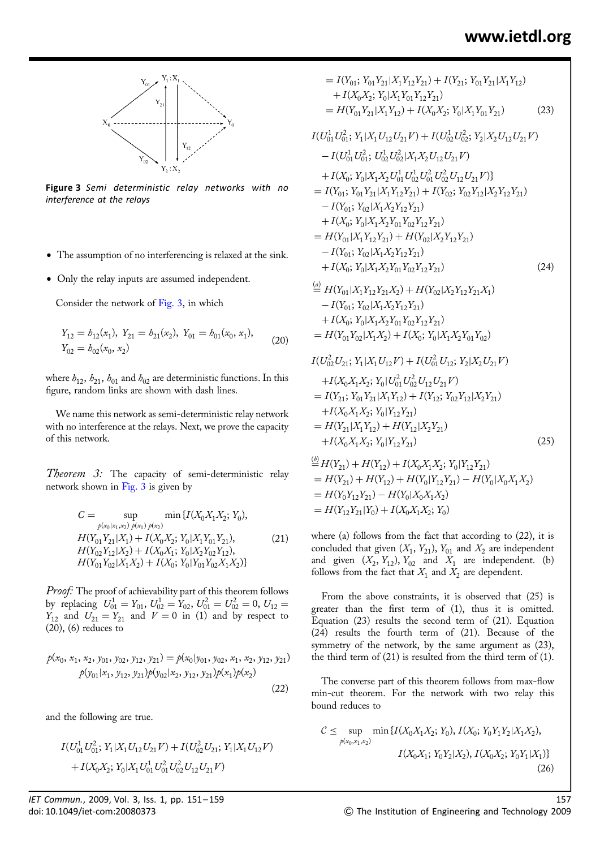

Figure 3 Semi deterministic relay networks with no interference at the relays

- The assumption of no interferencing is relaxed at the sink.
- Only the relay inputs are assumed independent.

Consider the network of Fig. 3, in which

$$
Y_{12} = b_{12}(x_1), Y_{21} = b_{21}(x_2), Y_{01} = b_{01}(x_0, x_1),
$$
  
\n
$$
Y_{02} = b_{02}(x_0, x_2)
$$
\n(20)

where  $h_{12}$ ,  $h_{21}$ ,  $h_{01}$  and  $h_{02}$  are deterministic functions. In this figure, random links are shown with dash lines.

We name this network as semi-deterministic relay network with no interference at the relays. Next, we prove the capacity of this network.

Theorem 3: The capacity of semi-deterministic relay network shown in Fig. 3 is given by

$$
C = \sup_{\rho(x_0|x_1,x_2)} \min_{\rho(x_1)} \{I(X_0X_1X_2; Y_0),
$$
  
\n
$$
H(Y_{01}Y_{21}|X_1) + I(X_0X_2; Y_0|X_1Y_{01}Y_{21}),
$$
  
\n
$$
H(Y_{02}Y_{12}|X_2) + I(X_0X_1; Y_0|X_2Y_{02}Y_{12}),
$$
  
\n
$$
H(Y_{01}Y_{02}|X_1X_2) + I(X_0; Y_0|Y_{01}Y_{02}X_1X_2)\}
$$
\n(21)

Proof: The proof of achievability part of this theorem follows by replacing  $U_{01}^1 = Y_{01}$ ,  $U_{02}^1 = Y_{02}$ ,  $U_{01}^2 = U_{02}^2 = 0$ ,  $U_{12} =$  $Y_{12}$  and  $U_{21} = Y_{21}$  and  $V = 0$  in (1) and by respect to (20), (6) reduces to

$$
p(x_0, x_1, x_2, y_{01}, y_{02}, y_{12}, y_{21}) = p(x_0|y_{01}, y_{02}, x_1, x_2, y_{12}, y_{21})
$$
  
\n
$$
p(y_{01}|x_1, y_{12}, y_{21})p(y_{02}|x_2, y_{12}, y_{21})p(x_1)p(x_2)
$$
  
\n(22)

and the following are true.

$$
I(U_{01}^1 U_{01}^2; Y_1 | X_1 U_{12} U_{21} V) + I(U_{02}^2 U_{21}; Y_1 | X_1 U_{12} V) + I(X_0 X_2; Y_0 | X_1 U_{01}^1 U_{01}^2 U_{02}^2 U_{12} U_{21} V)
$$

$$
= I(Y_{01}; Y_{01}Y_{21}|X_1Y_{12}Y_{21}) + I(Y_{21}; Y_{01}Y_{21}|X_1Y_{12})
$$
  
+  $I(X_0X_2; Y_0|X_1Y_{01}Y_{12}Y_{21})$   
=  $H(Y_{01}Y_{21}|X_1Y_{12}) + I(X_0X_2; Y_0|X_1Y_{01}Y_{21})$  (23)  
 $I(U_{01}^1U_{01}^2; Y_1|X_1U_{12}U_{21}V) + I(U_{02}^1U_{02}^2; Y_2|X_2U_{12}U_{21}V)$   
-  $I(U_{01}^1U_{01}^2; U_{02}^1U_{02}^2|X_1X_2U_{12}U_{21}V)$   
+  $I(X_0; Y_0|X_1X_2U_{01}^1U_{02}^1U_{02}^2U_{12}U_{21}V)$ ]  
=  $I(Y_{01}; Y_{01}Y_{21}|X_1Y_{12}Y_{21}) + I(Y_{02}; Y_{02}Y_{12}|X_2Y_{12}Y_{21})$   
-  $I(Y_{01}; Y_{02}|X_1X_2Y_{12}Y_{21})$   
+  $I(X_0; Y_0|X_1X_2Y_{12}Y_{21})$   
=  $H(Y_{01}|X_1Y_{12}Y_{21}) + H(Y_{02}|X_2Y_{12}Y_{21})$   
-  $I(Y_{01}; Y_{02}|X_1X_2Y_{12}Y_{21})$   
-  $I(Y_{01}; Y_{02}|X_1X_2Y_{12}Y_{21})$   
+  $I(X_0; Y_0|X_1X_2Y_{12}Y_{21})$   
+  $I(X_0; Y_0|X_1X_2Y_{12}Y_{21})$  (24)

$$
\stackrel{\text{(ii)}}{=} H(Y_{01}|X_1Y_{12}Y_{21}X_2) + H(Y_{02}|X_2Y_{12}Y_{21}X_1) \n- I(Y_{01}; Y_{02}|X_1X_2Y_{12}Y_{21}) \n+ I(X_0; Y_0|X_1X_2Y_{01}Y_{02}Y_{12}Y_{21}) \n= H(Y_{01}Y_{02}|X_1X_2) + I(X_0; Y_0|X_1X_2Y_{01}Y_{02}) \nI(U_{02}^2U_{21}; Y_1|X_1U_{12}V) + I(U_{01}^2U_{12}; Y_2|X_2U_{21}V) \n+ I(X_0X_1X_2; Y_0|U_{01}^2U_{02}^2U_{12}U_{21}V) \n= I(Y_{21}; Y_{01}Y_{21}|X_1Y_{12}) + I(Y_{12}; Y_{02}Y_{12}|X_2Y_{21})
$$

$$
+I(X_0X_1X_2; Y_0|Y_{12}Y_{21})
$$
  
=  $H(Y_{21}|X_1Y_{12}) + H(Y_{12}|X_2Y_{21})$   
+ $I(X_0X_1X_2; Y_0|Y_{12}Y_{21})$  (25)

$$
\begin{aligned}\n\stackrel{(b)}{=} H(Y_{21}) + H(Y_{12}) + I(X_0X_1X_2; Y_0|Y_{12}Y_{21}) \\
&= H(Y_{21}) + H(Y_{12}) + H(Y_0|Y_{12}Y_{21}) - H(Y_0|X_0X_1X_2) \\
&= H(Y_0Y_{12}Y_{21}) - H(Y_0|X_0X_1X_2) \\
&= H(Y_{12}Y_{21}|Y_0) + I(X_0X_1X_2; Y_0)\n\end{aligned}
$$

where (a) follows from the fact that according to  $(22)$ , it is concluded that given  $(X_1, Y_{21})$ ,  $Y_{01}$  and  $X_2$  are independent and given  $(X_2, Y_{12}), Y_{02}$  and  $X_1$  are independent. (b) follows from the fact that  $X_1$  and  $X_2$  are dependent.

From the above constraints, it is observed that (25) is greater than the first term of (1), thus it is omitted. Equation (23) results the second term of (21). Equation (24) results the fourth term of (21). Because of the symmetry of the network, by the same argument as (23), the third term of (21) is resulted from the third term of (1).

The converse part of this theorem follows from max-flow min-cut theorem. For the network with two relay this bound reduces to

$$
C \leq \sup_{p(x_0, x_1, x_2)} \min \{ I(X_0 X_1 X_2; Y_0), I(X_0; Y_0 Y_1 Y_2 | X_1 X_2),
$$

$$
I(X_0 X_1; Y_0 Y_2 | X_2), I(X_0 X_2; Y_0 Y_1 | X_1) \}
$$
(26)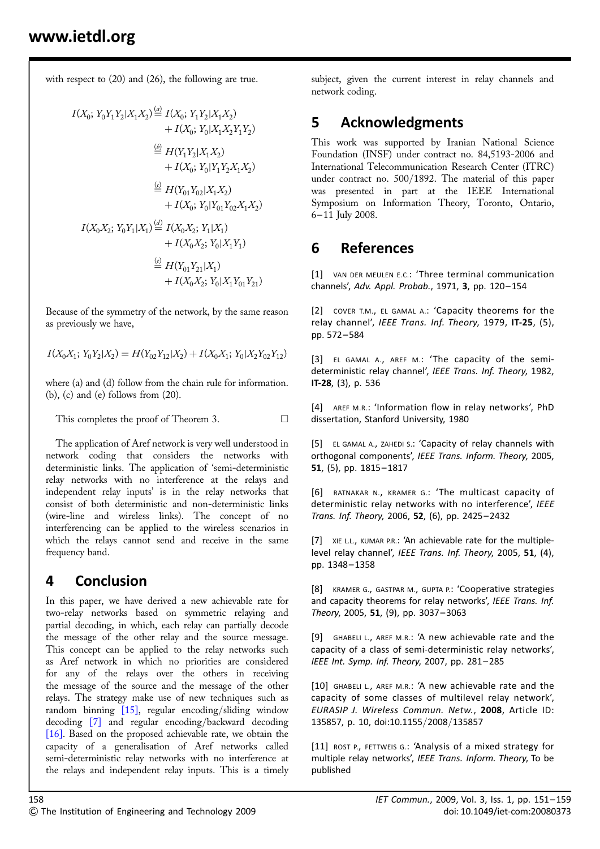with respect to  $(20)$  and  $(26)$ , the following are true.

$$
I(X_0; Y_0Y_1Y_2|X_1X_2) \stackrel{(a)}{=} I(X_0; Y_1Y_2|X_1X_2)
$$
  
+  $I(X_0; Y_0|X_1X_2Y_1Y_2)$   

$$
\stackrel{(b)}{=} H(Y_1Y_2|X_1X_2)
$$
  
+  $I(X_0; Y_0|Y_1Y_2X_1X_2)$   

$$
\stackrel{(c)}{=} H(Y_{01}Y_{02}|X_1X_2)
$$
  
+  $I(X_0; Y_0|Y_{01}Y_{02}X_1X_2)$   
 $I(X_0X_2; Y_0Y_1|X_1) \stackrel{(d)}{=} I(X_0X_2; Y_1|X_1)$   
+  $I(X_0X_2; Y_0|X_1Y_1)$   

$$
\stackrel{(e)}{=} H(Y_{01}Y_{21}|X_1)
$$
  
+  $I(X_0X_2; Y_0|X_1Y_{01}Y_{21})$ 

Because of the symmetry of the network, by the same reason as previously we have,

 $I(X_0X_1; Y_0Y_2|X_2) = H(Y_{02}Y_{12}|X_2) + I(X_0X_1; Y_0|X_2Y_{02}Y_{12})$ 

where (a) and (d) follow from the chain rule for information.  $(b)$ ,  $(c)$  and  $(e)$  follows from  $(20)$ .

This completes the proof of Theorem 3.  $\Box$ 

The application of Aref network is very well understood in network coding that considers the networks with deterministic links. The application of 'semi-deterministic relay networks with no interference at the relays and independent relay inputs' is in the relay networks that consist of both deterministic and non-deterministic links (wire-line and wireless links). The concept of no interferencing can be applied to the wireless scenarios in which the relays cannot send and receive in the same frequency band.

# 4 Conclusion

In this paper, we have derived a new achievable rate for two-relay networks based on symmetric relaying and partial decoding, in which, each relay can partially decode the message of the other relay and the source message. This concept can be applied to the relay networks such as Aref network in which no priorities are considered for any of the relays over the others in receiving the message of the source and the message of the other relays. The strategy make use of new techniques such as random binning [15], regular encoding/sliding window decoding [7] and regular encoding/backward decoding [16]. Based on the proposed achievable rate, we obtain the capacity of a generalisation of Aref networks called semi-deterministic relay networks with no interference at the relays and independent relay inputs. This is a timely subject, given the current interest in relay channels and network coding.

# 5 Acknowledgments

This work was supported by Iranian National Science Foundation (INSF) under contract no. 84,5193-2006 and International Telecommunication Research Center (ITRC) under contract no. 500/1892. The material of this paper was presented in part at the IEEE International Symposium on Information Theory, Toronto, Ontario, 6 – 11 July 2008.

## 6 References

[1] VAN DER MEULEN E.C.: 'Three terminal communication channels', Adv. Appl. Probab., 1971, 3, pp. 120-154

[2] COVER T.M., EL GAMAL A.: 'Capacity theorems for the relay channel', IEEE Trans. Inf. Theory, 1979, IT-25, (5), pp. 572– 584

[3] EL GAMAL A., AREF M.: 'The capacity of the semideterministic relay channel', IEEE Trans. Inf. Theory, 1982, IT-28, (3), p. 536

[4] AREF M.R.: 'Information flow in relay networks', PhD dissertation, Stanford University, 1980

[5] EL GAMAL A., ZAHEDI S.: 'Capacity of relay channels with orthogonal components', IEEE Trans. Inform. Theory, 2005, 51, (5), pp. 1815– 1817

[6] RATNAKAR N., KRAMER G.: 'The multicast capacity of deterministic relay networks with no interference', IEEE Trans. Inf. Theory, 2006, 52, (6), pp. 2425– 2432

[7] XIE L.L., KUMAR P.R.: 'An achievable rate for the multiplelevel relay channel', IEEE Trans. Inf. Theory, 2005, 51, (4), pp. 1348– 1358

[8] KRAMER G., GASTPAR M., GUPTA P.: 'Cooperative strategies and capacity theorems for relay networks', IEEE Trans. Inf. Theory, 2005, 51, (9), pp. 3037-3063

[9] GHABELI L., AREF M.R.: 'A new achievable rate and the capacity of a class of semi-deterministic relay networks', IEEE Int. Symp. Inf. Theory, 2007, pp. 281– 285

[10] GHABELI L., AREF M.R.: 'A new achievable rate and the capacity of some classes of multilevel relay network', EURASIP J. Wireless Commun. Netw., 2008, Article ID: 135857, p. 10, doi:10.1155/2008/135857

[11] ROST P., FETTWEIS G.: 'Analysis of a mixed strategy for multiple relay networks', IEEE Trans. Inform. Theory, To be published